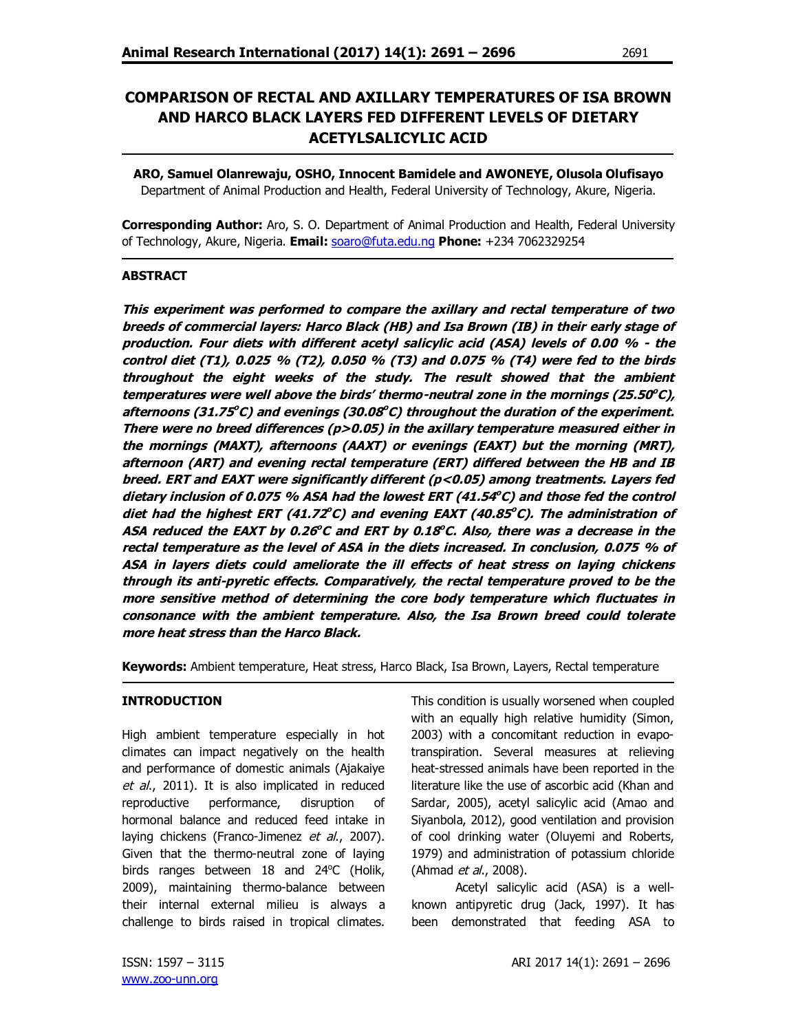# **COMPARISON OF RECTAL AND AXILLARY TEMPERATURES OF ISA BROWN AND HARCO BLACK LAYERS FED DIFFERENT LEVELS OF DIETARY ACETYLSALICYLIC ACID**

**ARO, Samuel Olanrewaju, OSHO, Innocent Bamidele and AWONEYE, Olusola Olufisayo** Department of Animal Production and Health, Federal University of Technology, Akure, Nigeria.

**Corresponding Author:** Aro, S. O. Department of Animal Production and Health, Federal University of Technology, Akure, Nigeria. **Email:** soaro@futa.edu.ng **Phone:** +234 7062329254

## **ABSTRACT**

**This experiment was performed to compare the axillary and rectal temperature of two breeds of commercial layers: Harco Black (HB) and Isa Brown (IB) in their early stage of production. Four diets with different acetyl salicylic acid (ASA) levels of 0.00 % - the control diet (T1), 0.025 % (T2), 0.050 % (T3) and 0.075 % (T4) were fed to the birds throughout the eight weeks of the study. The result showed that the ambient temperatures were well above the birds' thermo-neutral zone in the mornings (25.50 <sup>o</sup>C), afternoons (31.75 <sup>o</sup>C) and evenings (30.08 <sup>o</sup>C) throughout the duration of the experiment. There were no breed differences (p>0.05) in the axillary temperature measured either in the mornings (MAXT), afternoons (AAXT) or evenings (EAXT) but the morning (MRT), afternoon (ART) and evening rectal temperature (ERT) differed between the HB and IB breed. ERT and EAXT were significantly different (p<0.05) among treatments. Layers fed dietary inclusion of 0.075 % ASA had the lowest ERT (41.54 <sup>o</sup>C) and those fed the control diet had the highest ERT (41.72 <sup>o</sup>C) and evening EAXT (40.85 <sup>o</sup>C). The administration of ASA reduced the EAXT by 0.26 <sup>o</sup>C and ERT by 0.18 <sup>o</sup>C. Also, there was a decrease in the rectal temperature as the level of ASA in the diets increased. In conclusion, 0.075 % of ASA in layers diets could ameliorate the ill effects of heat stress on laying chickens through its anti-pyretic effects. Comparatively, the rectal temperature proved to be the more sensitive method of determining the core body temperature which fluctuates in consonance with the ambient temperature. Also, the Isa Brown breed could tolerate more heat stress than the Harco Black.**

**Keywords:** Ambient temperature, Heat stress, Harco Black, Isa Brown, Layers, Rectal temperature

## **INTRODUCTION**

High ambient temperature especially in hot climates can impact negatively on the health and performance of domestic animals (Ajakaiye et al., 2011). It is also implicated in reduced reproductive performance, disruption of hormonal balance and reduced feed intake in laying chickens (Franco-Jimenez et al., 2007). Given that the thermo-neutral zone of laying birds ranges between  $18$  and  $24^{\circ}$ C (Holik, 2009), maintaining thermo-balance between their internal external milieu is always a challenge to birds raised in tropical climates.

This condition is usually worsened when coupled with an equally high relative humidity (Simon, 2003) with a concomitant reduction in evapotranspiration. Several measures at relieving heat-stressed animals have been reported in the literature like the use of ascorbic acid (Khan and Sardar, 2005), acetyl salicylic acid (Amao and Siyanbola, 2012), good ventilation and provision of cool drinking water (Oluyemi and Roberts, 1979) and administration of potassium chloride (Ahmad *et al.*, 2008).

Acetyl salicylic acid (ASA) is a wellknown antipyretic drug (Jack, 1997). It has been demonstrated that feeding ASA to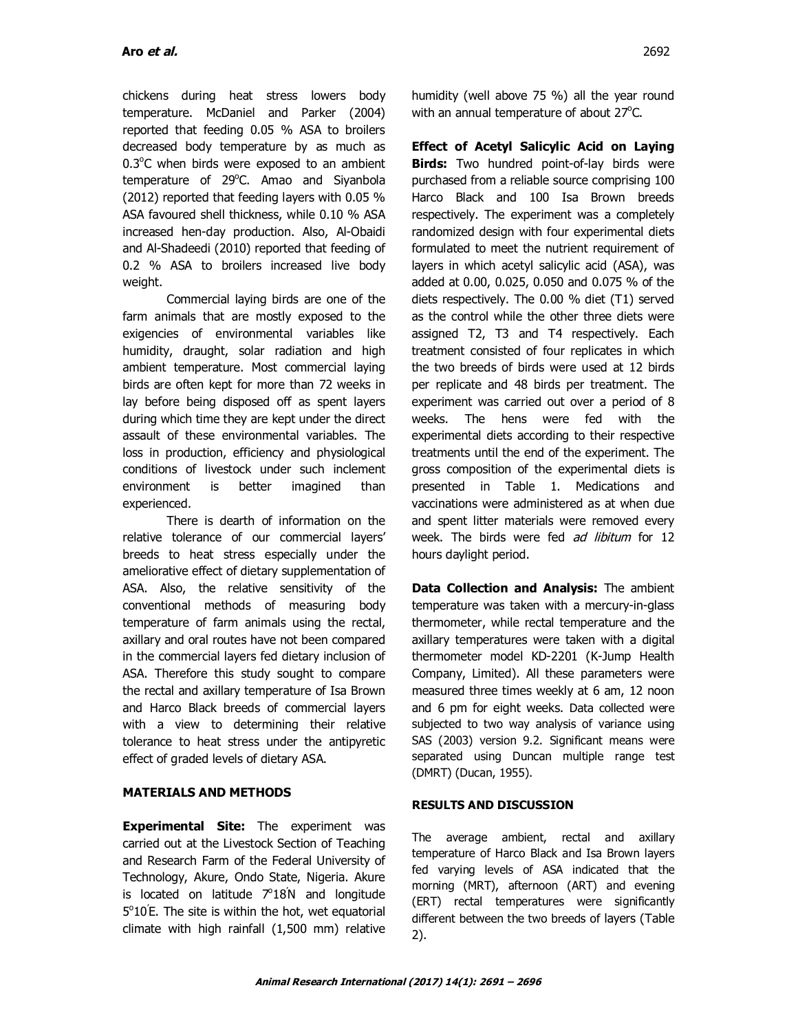chickens during heat stress lowers body temperature. McDaniel and Parker (2004) reported that feeding 0.05 % ASA to broilers decreased body temperature by as much as  $0.3^{\circ}$ C when birds were exposed to an ambient temperature of 29°C. Amao and Siyanbola (2012) reported that feeding layers with 0.05 % ASA favoured shell thickness, while 0.10 % ASA increased hen-day production. Also, Al-Obaidi and Al-Shadeedi (2010) reported that feeding of 0.2 % ASA to broilers increased live body weight.

Commercial laying birds are one of the farm animals that are mostly exposed to the exigencies of environmental variables like humidity, draught, solar radiation and high ambient temperature. Most commercial laying birds are often kept for more than 72 weeks in lay before being disposed off as spent layers during which time they are kept under the direct assault of these environmental variables. The loss in production, efficiency and physiological conditions of livestock under such inclement environment is better imagined than experienced.

There is dearth of information on the relative tolerance of our commercial layers' breeds to heat stress especially under the ameliorative effect of dietary supplementation of ASA. Also, the relative sensitivity of the conventional methods of measuring body temperature of farm animals using the rectal, axillary and oral routes have not been compared in the commercial layers fed dietary inclusion of ASA. Therefore this study sought to compare the rectal and axillary temperature of Isa Brown and Harco Black breeds of commercial layers with a view to determining their relative tolerance to heat stress under the antipyretic effect of graded levels of dietary ASA.

## **MATERIALS AND METHODS**

**Experimental Site:** The experiment was carried out at the Livestock Section of Teaching and Research Farm of the Federal University of Technology, Akure, Ondo State, Nigeria. Akure is located on latitude  $7^{\circ}18^{\prime}$  and longitude  $5^{\circ}10^{\prime}$ E. The site is within the hot, wet equatorial climate with high rainfall (1,500 mm) relative

humidity (well above 75 %) all the year round with an annual temperature of about 27°C.

**Effect of Acetyl Salicylic Acid on Laying Birds:** Two hundred point-of-lay birds were purchased from a reliable source comprising 100 Harco Black and 100 Isa Brown breeds respectively. The experiment was a completely randomized design with four experimental diets formulated to meet the nutrient requirement of layers in which acetyl salicylic acid (ASA), was added at 0.00, 0.025, 0.050 and 0.075 % of the diets respectively. The 0.00 % diet (T1) served as the control while the other three diets were assigned T2, T3 and T4 respectively. Each treatment consisted of four replicates in which the two breeds of birds were used at 12 birds per replicate and 48 birds per treatment. The experiment was carried out over a period of 8 weeks. The hens were fed with the experimental diets according to their respective treatments until the end of the experiment. The gross composition of the experimental diets is presented in Table 1. Medications and vaccinations were administered as at when due and spent litter materials were removed every week. The birds were fed ad libitum for 12 hours daylight period.

**Data Collection and Analysis:** The ambient temperature was taken with a mercury-in-glass thermometer, while rectal temperature and the axillary temperatures were taken with a digital thermometer model KD-2201 (K-Jump Health Company, Limited). All these parameters were measured three times weekly at 6 am, 12 noon and 6 pm for eight weeks. Data collected were subjected to two way analysis of variance using SAS (2003) version 9.2. Significant means were separated using Duncan multiple range test (DMRT) (Ducan, 1955).

## **RESULTS AND DISCUSSION**

The average ambient, rectal and axillary temperature of Harco Black and Isa Brown layers fed varying levels of ASA indicated that the morning (MRT), afternoon (ART) and evening (ERT) rectal temperatures were significantly different between the two breeds of layers (Table 2).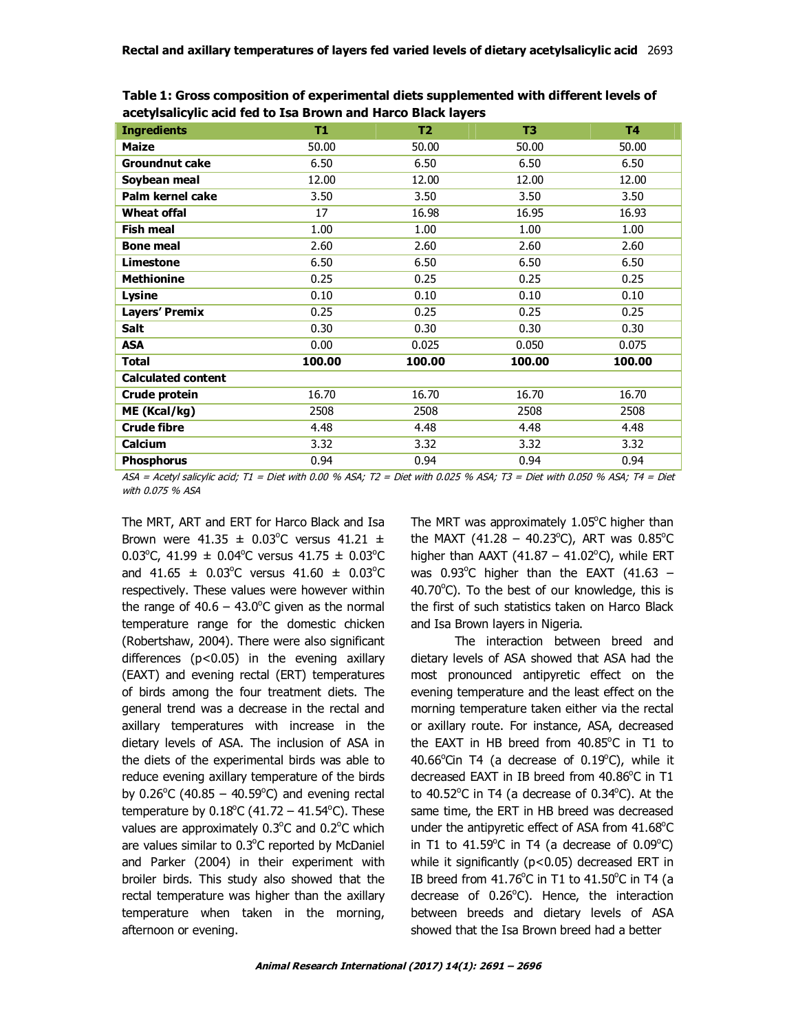| <b>Ingredients</b>        | T1     | T <sub>2</sub> | T3     | <b>T4</b> |
|---------------------------|--------|----------------|--------|-----------|
| <b>Maize</b>              | 50.00  | 50.00          | 50.00  | 50.00     |
| <b>Groundnut cake</b>     | 6.50   | 6.50           | 6.50   | 6.50      |
| Soybean meal              | 12.00  | 12.00          | 12.00  | 12.00     |
| Palm kernel cake          | 3.50   | 3.50           | 3.50   | 3.50      |
| Wheat offal               | 17     | 16.98          | 16.95  | 16.93     |
| <b>Fish meal</b>          | 1.00   | 1.00           | 1.00   | 1.00      |
| <b>Bone meal</b>          | 2.60   | 2.60           | 2.60   | 2.60      |
| Limestone                 | 6.50   | 6.50           | 6.50   | 6.50      |
| <b>Methionine</b>         | 0.25   | 0.25           | 0.25   | 0.25      |
| Lysine                    | 0.10   | 0.10           | 0.10   | 0.10      |
| <b>Layers' Premix</b>     | 0.25   | 0.25           | 0.25   | 0.25      |
| Salt                      | 0.30   | 0.30           | 0.30   | 0.30      |
| <b>ASA</b>                | 0.00   | 0.025          | 0.050  | 0.075     |
| Total                     | 100.00 | 100.00         | 100.00 | 100.00    |
| <b>Calculated content</b> |        |                |        |           |
| Crude protein             | 16.70  | 16.70          | 16.70  | 16.70     |
| ME (Kcal/kg)              | 2508   | 2508           | 2508   | 2508      |
| <b>Crude fibre</b>        | 4.48   | 4.48           | 4.48   | 4.48      |
| Calcium                   | 3.32   | 3.32           | 3.32   | 3.32      |
| <b>Phosphorus</b>         | 0.94   | 0.94           | 0.94   | 0.94      |

**Table 1: Gross composition of experimental diets supplemented with different levels of acetylsalicylic acid fed to Isa Brown and Harco Black layers** 

ASA = Acetyl salicylic acid; T1 = Diet with 0.00 % ASA; T2 = Diet with 0.025 % ASA; T3 = Diet with 0.050 % ASA; T4 = Diet with 0.075 % ASA

The MRT, ART and ERT for Harco Black and Isa Brown were  $41.35 \pm 0.03^{\circ}$ C versus  $41.21 \pm 0.03^{\circ}$ 0.03°C, 41.99  $\pm$  0.04°C versus 41.75  $\pm$  0.03°C and  $41.65 \pm 0.03^{\circ}$ C versus  $41.60 \pm 0.03^{\circ}$ C respectively. These values were however within the range of  $40.6 - 43.0^{\circ}$ C given as the normal temperature range for the domestic chicken (Robertshaw, 2004). There were also significant differences  $(p<0.05)$  in the evening axillary (EAXT) and evening rectal (ERT) temperatures of birds among the four treatment diets. The general trend was a decrease in the rectal and axillary temperatures with increase in the dietary levels of ASA. The inclusion of ASA in the diets of the experimental birds was able to reduce evening axillary temperature of the birds by  $0.26^{\circ}$ C (40.85 – 40.59 $^{\circ}$ C) and evening rectal temperature by  $0.18^{\circ}$ C (41.72 – 41.54 $^{\circ}$ C). These values are approximately  $0.3^{\circ}$ C and  $0.2^{\circ}$ C which are values similar to 0.3°C reported by McDaniel and Parker (2004) in their experiment with broiler birds. This study also showed that the rectal temperature was higher than the axillary temperature when taken in the morning, afternoon or evening.

The MRT was approximately  $1.05^{\circ}$ C higher than the MAXT  $(41.28 - 40.23^{\circ}C)$ , ART was  $0.85^{\circ}C$ higher than  $AAXT$  (41.87 – 41.02 $^{\circ}$ C), while ERT was  $0.93^{\circ}$ C higher than the EAXT (41.63 - $40.70^{\circ}$ C). To the best of our knowledge, this is the first of such statistics taken on Harco Black and Isa Brown layers in Nigeria.

The interaction between breed and dietary levels of ASA showed that ASA had the most pronounced antipyretic effect on the evening temperature and the least effect on the morning temperature taken either via the rectal or axillary route. For instance, ASA, decreased the EAXT in HB breed from  $40.85^{\circ}$ C in T1 to  $40.66^{\circ}$ Cin T4 (a decrease of  $0.19^{\circ}$ C), while it decreased EAXT in IB breed from 40.86°C in T1 to  $40.52^{\circ}$ C in T4 (a decrease of  $0.34^{\circ}$ C). At the same time, the ERT in HB breed was decreased under the antipyretic effect of ASA from  $41.68^{\circ}$ C in T1 to  $41.59^{\circ}$ C in T4 (a decrease of  $0.09^{\circ}$ C) while it significantly ( $p$ <0.05) decreased ERT in IB breed from  $41.76^{\circ}$ C in T1 to  $41.50^{\circ}$ C in T4 (a decrease of  $0.26^{\circ}$ C). Hence, the interaction between breeds and dietary levels of ASA showed that the Isa Brown breed had a better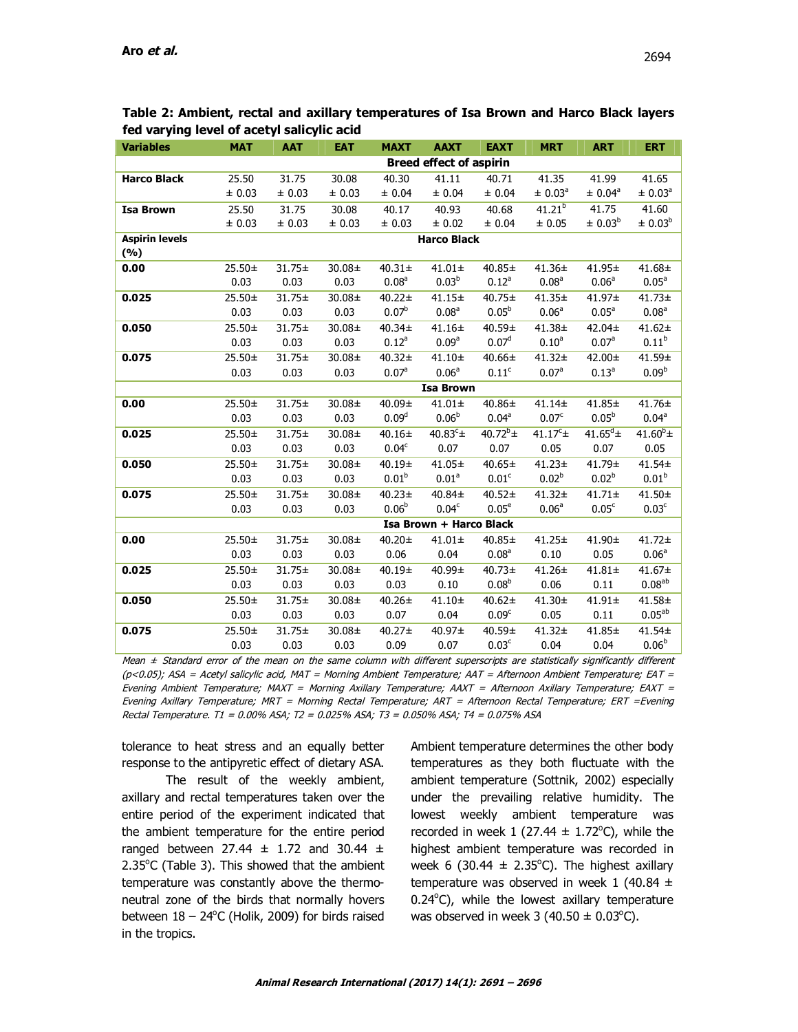| <b>Variables</b>      | <b>MAT</b>                     | <b>AAT</b>  | <b>EAT</b> | <b>MAXT</b>       | <b>AAXT</b>             | <b>EAXT</b>       | <b>MRT</b>          | <b>ART</b>          | <b>ERT</b>          |
|-----------------------|--------------------------------|-------------|------------|-------------------|-------------------------|-------------------|---------------------|---------------------|---------------------|
|                       | <b>Breed effect of aspirin</b> |             |            |                   |                         |                   |                     |                     |                     |
| <b>Harco Black</b>    | 25.50                          | 31.75       | 30.08      | 40.30             | 41.11                   | 40.71             | 41.35               | 41.99               | 41.65               |
|                       | ± 0.03                         | ± 0.03      | ± 0.03     | ± 0.04            | $\pm$ 0.04              | ± 0.04            | ± 0.03 <sup>a</sup> | ± 0.04 <sup>a</sup> | ± 0.03 <sup>a</sup> |
| <b>Isa Brown</b>      | 25.50                          | 31.75       | 30.08      | 40.17             | 40.93                   | 40.68             | $41.21^{b}$         | 41.75               | 41.60               |
|                       | ± 0.03                         | ± 0.03      | ± 0.03     | ± 0.03            | ± 0.02                  | ± 0.04            | ± 0.05              | ± 0.03 <sup>b</sup> | ± 0.03 <sup>b</sup> |
| <b>Aspirin levels</b> | <b>Harco Black</b>             |             |            |                   |                         |                   |                     |                     |                     |
| (%)                   |                                |             |            |                   |                         |                   |                     |                     |                     |
| 0.00                  | $25.50+$                       | $31.75 \pm$ | 30.08±     | $40.31 \pm$       | $41.01 \pm$             | 40.85±            | $41.36 \pm$         | 41.95±              | 41.68±              |
|                       | 0.03                           | 0.03        | 0.03       | 0.08 <sup>a</sup> | 0.03 <sup>b</sup>       | $0.12^a$          | 0.08 <sup>a</sup>   | 0.06 <sup>a</sup>   | $0.05^a$            |
| 0.025                 | $25.50+$                       | $31.75 \pm$ | 30.08±     | $40.22 \pm$       | $41.15+$                | 40.75±            | $41.35+$            | 41.97±              | $41.73+$            |
|                       | 0.03                           | 0.03        | 0.03       | 0.07 <sup>b</sup> | 0.08 <sup>a</sup>       | $0.05^{b}$        | 0.06 <sup>a</sup>   | $0.05^{\circ}$      | 0.08 <sup>a</sup>   |
| 0.050                 | $25.50+$                       | $31.75 \pm$ | 30.08±     | $40.34 \pm$       | $41.16 \pm$             | 40.59±            | $41.38 \pm$         | 42.04±              | $41.62 \pm$         |
|                       | 0.03                           | 0.03        | 0.03       | $0.12^a$          | 0.09 <sup>a</sup>       | 0.07 <sup>d</sup> | 0.10 <sup>a</sup>   | 0.07 <sup>a</sup>   | $0.11^{b}$          |
| 0.075                 | 25.50±                         | $31.75 \pm$ | 30.08±     | $40.32 \pm$       | $41.10+$                | 40.66±            | $41.32 \pm$         | 42.00±              | 41.59±              |
|                       | 0.03                           | 0.03        | 0.03       | 0.07 <sup>a</sup> | $0.06^{a}$              | 0.11 <sup>c</sup> | 0.07 <sup>a</sup>   | $0.13^{a}$          | 0.09 <sup>b</sup>   |
|                       |                                |             |            |                   | <b>Isa Brown</b>        |                   |                     |                     |                     |
| 0.00                  | $25.50+$                       | $31.75 \pm$ | 30.08±     | 40.09±            | $41.01 \pm$             | $40.86 \pm$       | $41.14 \pm$         | 41.85±              | 41.76±              |
|                       | 0.03                           | 0.03        | 0.03       | 0.09 <sup>d</sup> | 0.06 <sup>b</sup>       | $0.04^{\text{a}}$ | 0.07 <sup>c</sup>   | $0.05^{b}$          | 0.04 <sup>a</sup>   |
| 0.025                 | 25.50±                         | $31.75 \pm$ | 30.08±     | $40.16 \pm$       | 40.83 $c_{\pm}$         | $40.72^{b}$ ±     | $41.17^c \pm$       | $41.65^d \pm$       | $41.60^{b}$ ±       |
|                       | 0.03                           | 0.03        | 0.03       | 0.04 <sup>c</sup> | 0.07                    | 0.07              | 0.05                | 0.07                | 0.05                |
| 0.050                 | 25.50±                         | $31.75 \pm$ | 30.08±     | 40.19±            | 41.05±                  | $40.65 \pm$       | $41.23 \pm$         | 41.79±              | 41.54±              |
|                       | 0.03                           | 0.03        | 0.03       | 0.01 <sup>b</sup> | 0.01 <sup>a</sup>       | $0.01^{\circ}$    | 0.02 <sup>b</sup>   | $0.02^{b}$          | 0.01 <sup>b</sup>   |
| 0.075                 | 25.50±                         | $31.75 \pm$ | 30.08±     | $40.23 \pm$       | 40.84±                  | $40.52 \pm$       | $41.32 +$           | $41.71 \pm$         | $41.50+$            |
|                       | 0.03                           | 0.03        | 0.03       | $0.06^{b}$        | 0.04 <sup>c</sup>       | 0.05 <sup>e</sup> | 0.06 <sup>a</sup>   | 0.05 <sup>c</sup>   | 0.03 <sup>c</sup>   |
|                       |                                |             |            |                   | Isa Brown + Harco Black |                   |                     |                     |                     |
| 0.00                  | $25.50+$                       | $31.75 \pm$ | 30.08±     | $40.20 \pm$       | $41.01 \pm$             | 40.85±            | $41.25 \pm$         | 41.90±              | $41.72 \pm$         |
|                       | 0.03                           | 0.03        | 0.03       | 0.06              | 0.04                    | 0.08 <sup>a</sup> | 0.10                | 0.05                | 0.06 <sup>a</sup>   |
| 0.025                 | 25.50±                         | $31.75 \pm$ | 30.08±     | $40.19+$          | 40.99±                  | $40.73+$          | $41.26 \pm$         | $41.81 \pm$         | $41.67 +$           |
|                       | 0.03                           | 0.03        | 0.03       | 0.03              | 0.10                    | $0.08^{b}$        | 0.06                | 0.11                | 0.08 <sup>ab</sup>  |
| 0.050                 | 25.50±                         | 31.75±      | 30.08±     | $40.26 \pm$       | $41.10+$                | 40.62±            | $41.30+$            | $41.91 \pm$         | $41.58 +$           |
|                       | 0.03                           | 0.03        | 0.03       | 0.07              | 0.04                    | 0.09 <sup>c</sup> | 0.05                | 0.11                | $0.05^{ab}$         |
| 0.075                 | 25.50±                         | $31.75 \pm$ | 30.08±     | $40.27 \pm$       | 40.97±                  | 40.59±            | $41.32 \pm$         | 41.85±              | 41.54±              |
|                       | 0.03                           | 0.03        | 0.03       | 0.09              | 0.07                    | 0.03 <sup>c</sup> | 0.04                | 0.04                | $0.06^{b}$          |

**Table 2: Ambient, rectal and axillary temperatures of Isa Brown and Harco Black layers fed varying level of acetyl salicylic acid** 

Mean  $\pm$  Standard error of the mean on the same column with different superscripts are statistically significantly different (p<0.05); ASA = Acetyl salicylic acid, MAT = Morning Ambient Temperature; AAT = Afternoon Ambient Temperature; EAT = Evening Ambient Temperature; MAXT = Morning Axillary Temperature; AAXT = Afternoon Axillary Temperature; EAXT = Evening Axillary Temperature; MRT = Morning Rectal Temperature; ART = Afternoon Rectal Temperature; ERT =Evening Rectal Temperature. T1 = 0.00% ASA; T2 = 0.025% ASA; T3 = 0.050% ASA; T4 = 0.075% ASA

tolerance to heat stress and an equally better response to the antipyretic effect of dietary ASA.

The result of the weekly ambient, axillary and rectal temperatures taken over the entire period of the experiment indicated that the ambient temperature for the entire period ranged between 27.44  $\pm$  1.72 and 30.44  $\pm$  $2.35^{\circ}$ C (Table 3). This showed that the ambient temperature was constantly above the thermoneutral zone of the birds that normally hovers between  $18 - 24$ <sup>o</sup>C (Holik, 2009) for birds raised in the tropics.

Ambient temperature determines the other body temperatures as they both fluctuate with the ambient temperature (Sottnik, 2002) especially under the prevailing relative humidity. The lowest weekly ambient temperature was recorded in week 1 (27.44  $\pm$  1.72°C), while the highest ambient temperature was recorded in week 6 (30.44  $\pm$  2.35°C). The highest axillary temperature was observed in week 1 (40.84  $\pm$  $0.24$ °C), while the lowest axillary temperature was observed in week  $3(40.50 \pm 0.03^{\circ}C)$ .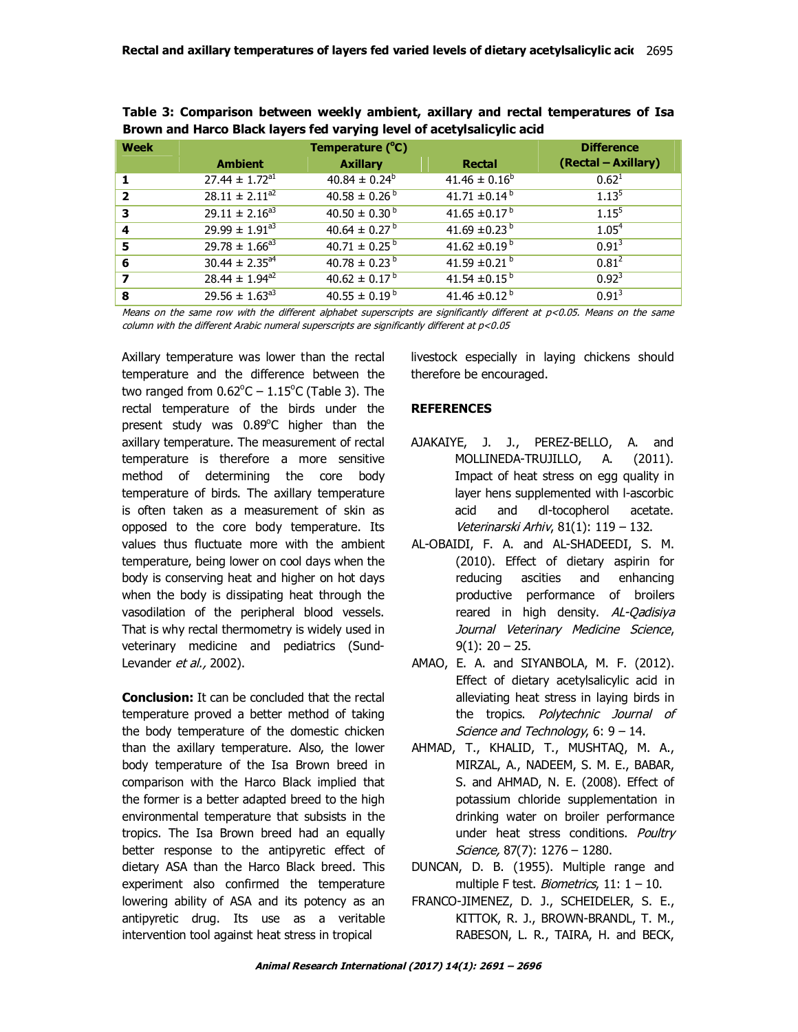| <b>Week</b>             |                                | <b>Difference</b>             |                               |                     |
|-------------------------|--------------------------------|-------------------------------|-------------------------------|---------------------|
|                         | <b>Ambient</b>                 | <b>Axillary</b>               | <b>Rectal</b>                 | (Rectal – Axillary) |
|                         | $27.44 \pm 1.72$ <sup>a1</sup> | $40.84 \pm 0.24^b$            | $41.46 \pm 0.16^b$            | $0.62^1$            |
| $\overline{\mathbf{2}}$ | $28.11 \pm 2.11^{a2}$          | $40.58 \pm 0.26^{\circ}$      | 41.71 $\pm$ 0.14 <sup>b</sup> | $1.13^{5}$          |
| 3                       | $29.11 \pm 2.16^{a3}$          | $40.50 \pm 0.30^{\circ}$      | 41.65 $\pm$ 0.17 <sup>b</sup> | $1.15^{5}$          |
| 4                       | $29.99 \pm 1.91^{a3}$          | $40.64 \pm 0.27$ <sup>b</sup> | 41.69 $\pm$ 0.23 <sup>b</sup> | 1.05 <sup>4</sup>   |
| 5                       | $29.78 \pm 1.66^{a3}$          | $40.71 \pm 0.25^{\circ}$      | 41.62 $\pm$ 0.19 <sup>b</sup> | $0.91^{3}$          |
| 6                       | $30.44 \pm 2.35^{a4}$          | $40.78 \pm 0.23^{\mathrm{b}}$ | 41.59 $\pm$ 0.21 <sup>b</sup> | $0.81^2$            |
| 7                       | $28.44 \pm 1.94^{a2}$          | $40.62 \pm 0.17^{\text{b}}$   | 41.54 $\pm$ 0.15 <sup>b</sup> | $0.92^{3}$          |
| 8                       | $29.56 \pm 1.63^{a3}$          | $40.55 \pm 0.19^{b}$          | 41.46 $\pm 0.12^{b}$          | $0.91^{3}$          |

**Table 3: Comparison between weekly ambient, axillary and rectal temperatures of Isa Brown and Harco Black layers fed varying level of acetylsalicylic acid** 

Means on the same row with the different alphabet superscripts are significantly different at p<0.05. Means on the same column with the different Arabic numeral superscripts are significantly different at p<0.05

Axillary temperature was lower than the rectal temperature and the difference between the two ranged from  $0.62^{\circ}$ C  $- 1.15^{\circ}$ C (Table 3). The rectal temperature of the birds under the present study was 0.89°C higher than the axillary temperature. The measurement of rectal temperature is therefore a more sensitive method of determining the core body temperature of birds. The axillary temperature is often taken as a measurement of skin as opposed to the core body temperature. Its values thus fluctuate more with the ambient temperature, being lower on cool days when the body is conserving heat and higher on hot days when the body is dissipating heat through the vasodilation of the peripheral blood vessels. That is why rectal thermometry is widely used in veterinary medicine and pediatrics (Sund-Levander et al., 2002).

**Conclusion:** It can be concluded that the rectal temperature proved a better method of taking the body temperature of the domestic chicken than the axillary temperature. Also, the lower body temperature of the Isa Brown breed in comparison with the Harco Black implied that the former is a better adapted breed to the high environmental temperature that subsists in the tropics. The Isa Brown breed had an equally better response to the antipyretic effect of dietary ASA than the Harco Black breed. This experiment also confirmed the temperature lowering ability of ASA and its potency as an antipyretic drug. Its use as a veritable intervention tool against heat stress in tropical

livestock especially in laying chickens should therefore be encouraged.

## **REFERENCES**

- AJAKAIYE, J. J., PEREZ-BELLO, A. and MOLLINEDA-TRUJILLO, A. (2011). Impact of heat stress on egg quality in layer hens supplemented with l-ascorbic acid and dl-tocopherol acetate. Veterinarski Arhiv, 81(1): 119 – 132.
- AL-OBAIDI, F. A. and AL-SHADEEDI, S. M. (2010). Effect of dietary aspirin for reducing ascities and enhancing productive performance of broilers reared in high density. AL-Qadisiya Journal Veterinary Medicine Science,  $9(1)$ : 20 – 25.
- AMAO, E. A. and SIYANBOLA, M. F. (2012). Effect of dietary acetylsalicylic acid in alleviating heat stress in laying birds in the tropics. Polytechnic Journal of Science and Technology, 6: 9 – 14.
- AHMAD, T., KHALID, T., MUSHTAQ, M. A., MIRZAL, A., NADEEM, S. M. E., BABAR, S. and AHMAD, N. E. (2008). Effect of potassium chloride supplementation in drinking water on broiler performance under heat stress conditions. Poultrv Science, 87(7): 1276 – 1280.
- DUNCAN, D. B. (1955). Multiple range and multiple F test. *Biometrics*,  $11: 1 - 10$ .
- FRANCO-JIMENEZ, D. J., SCHEIDELER, S. E., KITTOK, R. J., BROWN-BRANDL, T. M., RABESON, L. R., TAIRA, H. and BECK,